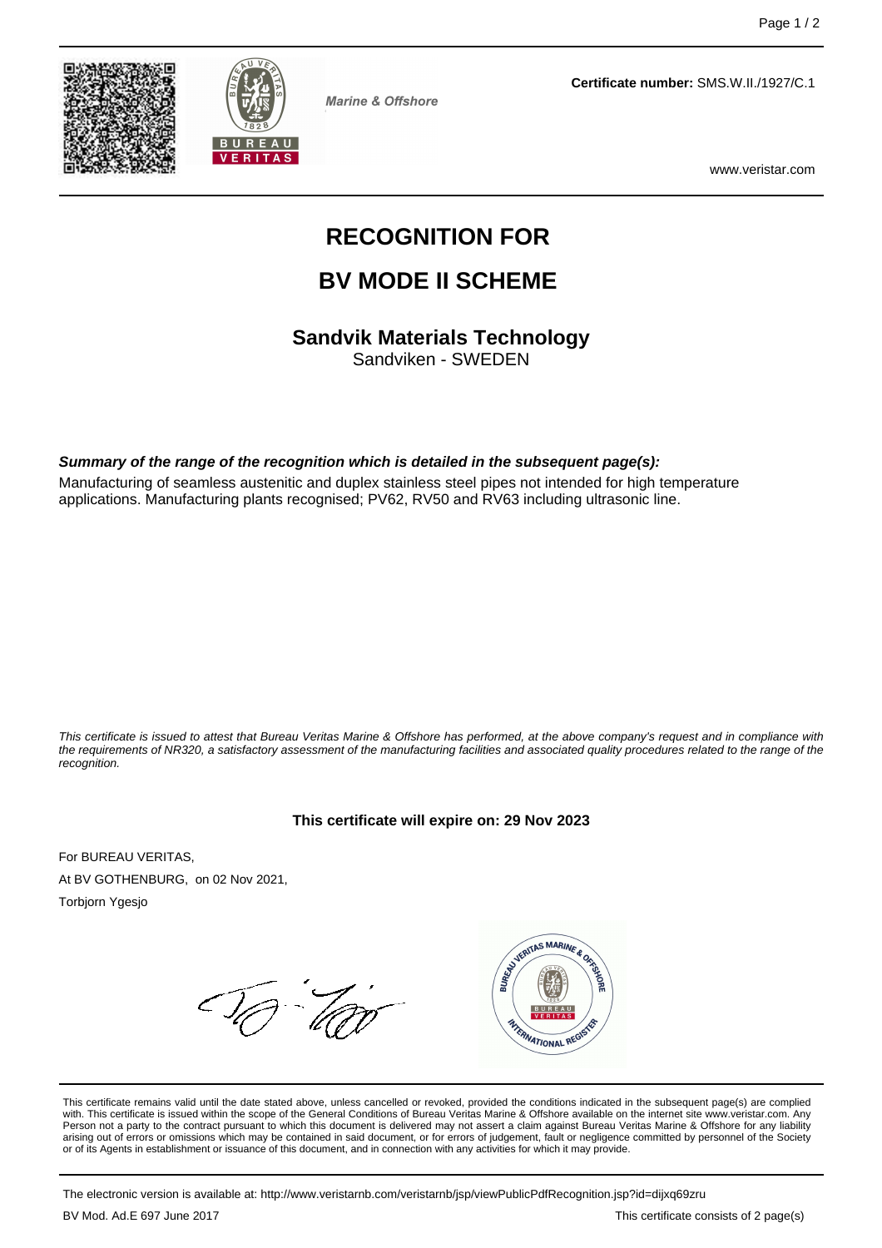



**Marine & Offshore** 

**Certificate number:** SMS.W.II./1927/C.1

www.veristar.com

# **RECOGNITION FOR**

# **BV MODE II SCHEME**

**Sandvik Materials Technology**

Sandviken - SWEDEN

#### **Summary of the range of the recognition which is detailed in the subsequent page(s):**

Manufacturing of seamless austenitic and duplex stainless steel pipes not intended for high temperature applications. Manufacturing plants recognised; PV62, RV50 and RV63 including ultrasonic line.

This certificate is issued to attest that Bureau Veritas Marine & Offshore has performed, at the above company's request and in compliance with the requirements of NR320, a satisfactory assessment of the manufacturing facilities and associated quality procedures related to the range of the recognition.

#### **This certificate will expire on: 29 Nov 2023**

For BUREAU VERITAS, At BV GOTHENBURG, on 02 Nov 2021,

Torbjorn Ygesjo



This certificate remains valid until the date stated above, unless cancelled or revoked, provided the conditions indicated in the subsequent page(s) are complied with. This certificate is issued within the scope of the General Conditions of Bureau Veritas Marine & Offshore available on the internet site www.veristar.com. Any Person not a party to the contract pursuant to which this document is delivered may not assert a claim against Bureau Veritas Marine & Offshore for any liability arising out of errors or omissions which may be contained in said document, or for errors of judgement, fault or negligence committed by personnel of the Society<br>or of its Agents in establishment or issuance of this docume